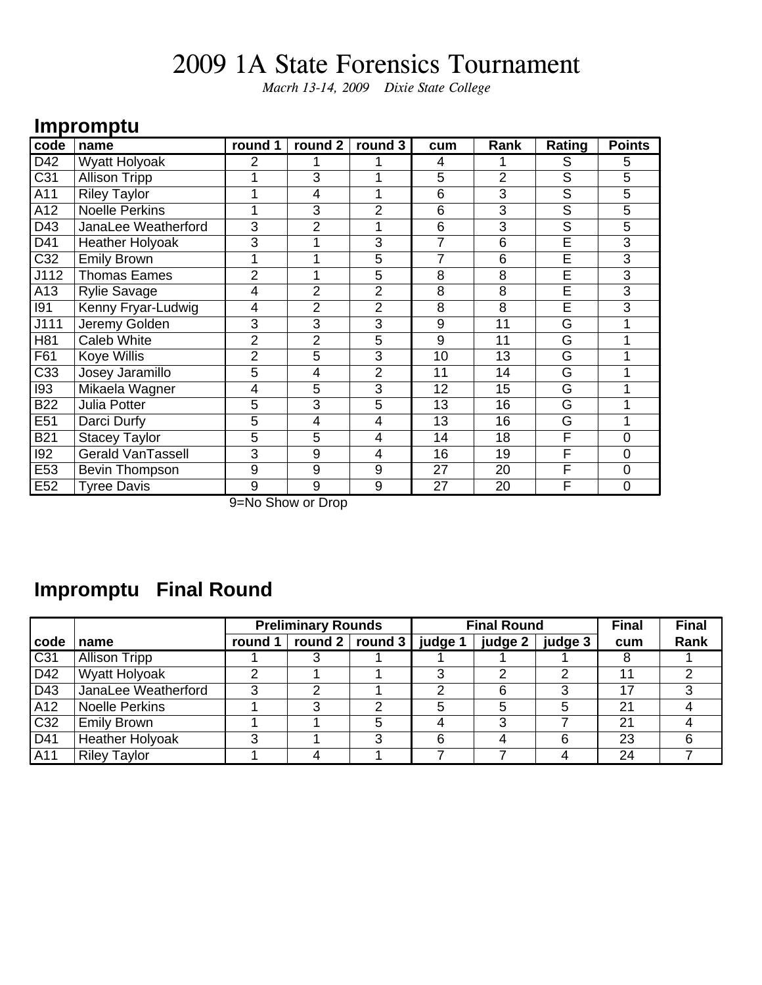*Macrh 13-14, 2009 Dixie State College*

### **Impromptu**

| code             | name                     | round 1                   | round 2        | round 3        | cum            | Rank           | Rating                  | <b>Points</b>  |
|------------------|--------------------------|---------------------------|----------------|----------------|----------------|----------------|-------------------------|----------------|
| D42              | <b>Wyatt Holyoak</b>     | 2                         |                |                | 4              |                | S                       | 5              |
| $\overline{C31}$ | <b>Allison Tripp</b>     |                           | 3              |                | $\overline{5}$ | $\overline{2}$ | $\overline{\mathsf{s}}$ | 5              |
| A11              | <b>Riley Taylor</b>      |                           | 4              |                | 6              | 3              | $\overline{\mathsf{S}}$ | 5              |
| A12              | <b>Noelle Perkins</b>    |                           | 3              | $\overline{2}$ | 6              | 3              | S                       | 5              |
| D43              | JanaLee Weatherford      | 3                         | $\overline{2}$ |                | 6              | 3              | $\overline{S}$          | 5              |
| D41              | <b>Heather Holyoak</b>   | 3                         |                | 3              | 7              | 6              | Ē                       | 3              |
| $\overline{C}32$ | <b>Emily Brown</b>       | 1                         |                | 5              | $\overline{7}$ | 6              | Ē                       | 3              |
| J112             | <b>Thomas Eames</b>      | $\overline{2}$            |                | 5              | 8              | 8              | E                       | 3              |
| A13              | <b>Rylie Savage</b>      | 4                         | $\overline{2}$ | $\overline{2}$ | 8              | 8              | E                       | 3              |
| 191              | Kenny Fryar-Ludwig       | 4                         | $\overline{2}$ | $\overline{2}$ | 8              | 8              | E                       | 3              |
| J111             | Jeremy Golden            | 3                         | 3              | $\overline{3}$ | 9              | 11             | G                       |                |
| H81              | Caleb White              | $\overline{2}$            | $\overline{2}$ | 5              | 9              | 11             | G                       |                |
| F61              | Koye Willis              | $\overline{2}$            | 5              | 3              | 10             | 13             | G                       |                |
| C33              | Josey Jaramillo          | 5                         | 4              | $\overline{2}$ | 11             | 14             | G                       |                |
| 193              | Mikaela Wagner           | 4                         | 5              | 3              | 12             | 15             | G                       |                |
| <b>B22</b>       | Julia Potter             | 5                         | 3              | 5              | 13             | 16             | G                       |                |
| E51              | Darci Durfy              | $\overline{5}$            | 4              | 4              | 13             | 16             | G                       | 1              |
| <b>B21</b>       | <b>Stacey Taylor</b>     | 5                         | 5              | $\overline{4}$ | 14             | 18             | F                       | 0              |
| 192              | <b>Gerald VanTassell</b> | 3                         | 9              | 4              | 16             | 19             | F                       | $\overline{0}$ |
| E53              | Bevin Thompson           | 9                         | 9              | 9              | 27             | 20             | F                       | $\mathbf 0$    |
| E <sub>52</sub>  | <b>Tyree Davis</b>       | 9<br>$\sim$ $\sim$ $\sim$ | 9              | 9              | 27             | 20             | F                       | $\overline{0}$ |

9=No Show or Drop

### **Impromptu Final Round**

|                 |                        | <b>Preliminary Rounds</b><br><b>Final Round</b> |                                       |   |          | <b>Final</b> | <b>Final</b> |     |      |
|-----------------|------------------------|-------------------------------------------------|---------------------------------------|---|----------|--------------|--------------|-----|------|
| code            | name                   | round 1                                         | round $2 \mid$ round $3 \mid$ judge 1 |   |          | judge 2 $ $  | judge 3      | cum | Rank |
| C <sub>31</sub> | <b>Allison Tripp</b>   |                                                 |                                       |   |          |              |              |     |      |
| D42             | Wyatt Holyoak          | າ                                               |                                       |   | <u>ົ</u> |              | 2            | 11  | ົ    |
| D43             | JanaLee Weatherford    | ີ                                               | ◠                                     |   | າ        |              | 3            | 17  |      |
| A12             | <b>Noelle Perkins</b>  |                                                 |                                       | ◠ | 5        |              | 5            | 21  |      |
| C32             | <b>Emily Brown</b>     |                                                 |                                       | 5 |          |              |              | 21  |      |
| D41             | <b>Heather Holyoak</b> | າ                                               |                                       | 3 | 6        |              | 6            | 23  |      |
| A11             | <b>Riley Taylor</b>    |                                                 |                                       |   |          |              |              | 24  |      |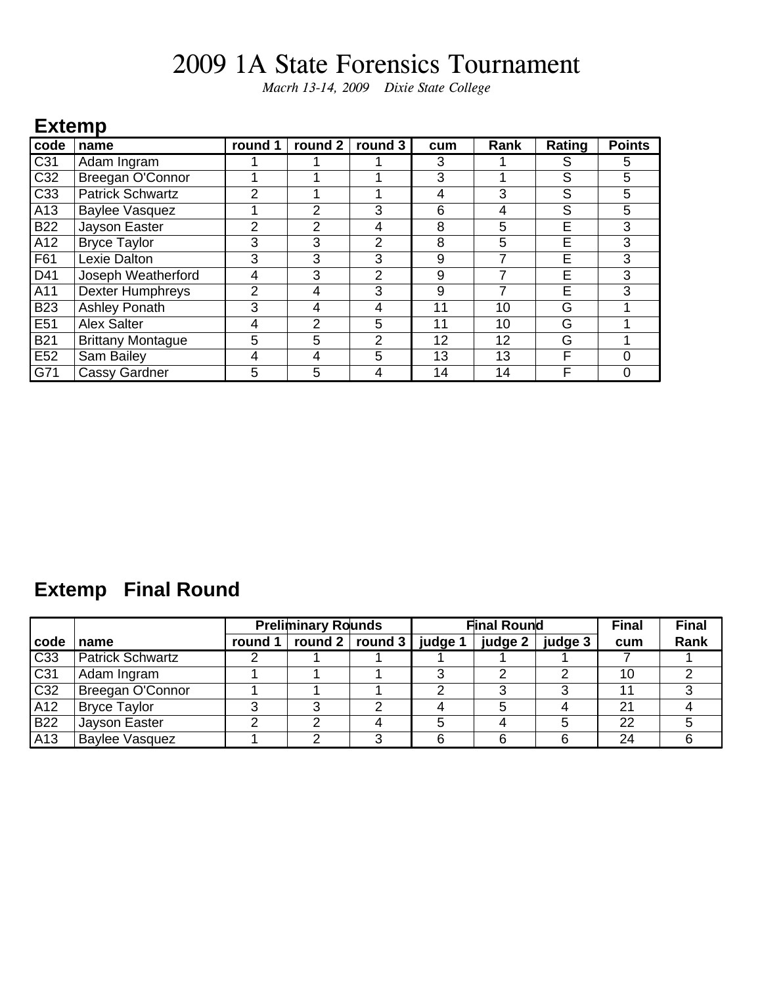*Macrh 13-14, 2009 Dixie State College*

#### **Extemp**

| code            | name                     | round 1 | round 2        | round 3        | cum | Rank | Rating | <b>Points</b> |
|-----------------|--------------------------|---------|----------------|----------------|-----|------|--------|---------------|
| C31             | Adam Ingram              |         |                |                | 3   |      | S      | 5             |
| C32             | Breegan O'Connor         |         |                |                | 3   |      | S      | 5             |
| C33             | <b>Patrick Schwartz</b>  | 2       |                |                | 4   | 3    | S      | 5             |
| A <sub>13</sub> | <b>Baylee Vasquez</b>    |         | 2              | 3              | 6   | 4    | S      | 5             |
| <b>B22</b>      | Jayson Easter            | 2       | 2              | 4              | 8   | 5    | E      | 3             |
| A12             | <b>Bryce Taylor</b>      | 3       | 3              | $\overline{2}$ | 8   | 5    | E      | 3             |
| F61             | Lexie Dalton             | 3       | 3              | 3              | 9   |      | E      | 3             |
| D41             | Joseph Weatherford       | 4       | 3              | 2              | 9   |      | E      | 3             |
| A11             | <b>Dexter Humphreys</b>  | 2       | 4              | 3              | 9   |      | E      | 3             |
| <b>B23</b>      | Ashley Ponath            | 3       | 4              | 4              | 11  | 10   | G      |               |
| E51             | <b>Alex Salter</b>       | 4       | $\overline{2}$ | 5              | 11  | 10   | G      |               |
| <b>B21</b>      | <b>Brittany Montague</b> | 5       | 5              | $\overline{2}$ | 12  | 12   | G      |               |
| E52             | Sam Bailey               | 4       | 4              | 5              | 13  | 13   | F      | 0             |
| G71             | Cassy Gardner            | 5       | 5              | 4              | 14  | 14   | F      |               |

### **Extemp Final Round**

|                 |                         | <b>Preliminary Rounds</b> |  |                                                 |   | <b>Final Round</b> |         | <b>Final</b> | <b>Final</b> |
|-----------------|-------------------------|---------------------------|--|-------------------------------------------------|---|--------------------|---------|--------------|--------------|
| code            | name                    | round 1                   |  | $\vert$ round 2 $\vert$ round 3 $\vert$ judge 1 |   | judge 2            | judge 3 | cum          | Rank         |
| C33             | <b>Patrick Schwartz</b> |                           |  |                                                 |   |                    |         |              |              |
| C <sub>31</sub> | Adam Ingram             |                           |  |                                                 | າ |                    | 2       | 10           |              |
| C32             | Breegan O'Connor        |                           |  |                                                 |   |                    |         | 11           |              |
| A12             | <b>Bryce Taylor</b>     | っ                         |  | ⌒                                               |   |                    | 4       | 21           |              |
| <b>B22</b>      | Jayson Easter           | ◠                         |  |                                                 |   |                    | 5       | 22           |              |
| A <sub>13</sub> | <b>Baylee Vasquez</b>   |                           |  |                                                 |   |                    | 6       | 24           |              |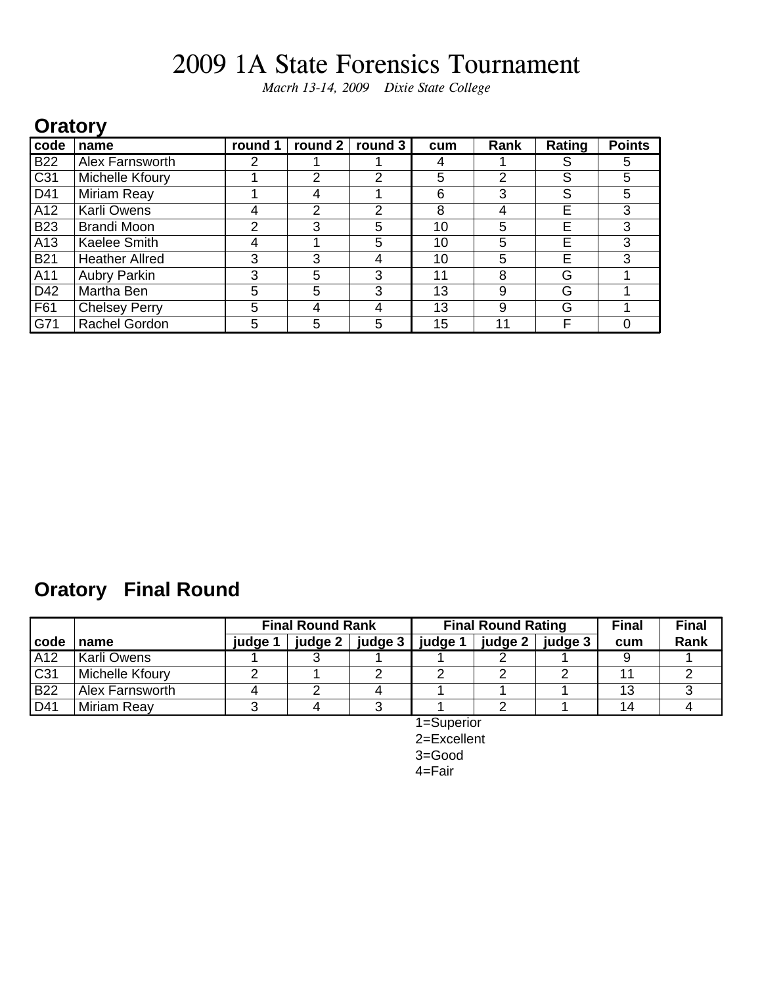*Macrh 13-14, 2009 Dixie State College*

#### **Oratory**

| code            | name                  | round 1 | round 2        | round 3 | cum | Rank | Rating | <b>Points</b> |
|-----------------|-----------------------|---------|----------------|---------|-----|------|--------|---------------|
| <b>B22</b>      | Alex Farnsworth       | 2       |                |         | 4   |      | S      | 5             |
| C <sub>31</sub> | Michelle Kfoury       |         | $\overline{2}$ | 2       | 5   | 2    | S      | 5             |
| D41             | Miriam Reay           |         | 4              |         | 6   | 3    | S      | 5             |
| A12             | <b>Karli Owens</b>    | 4       | 2              | 2       | 8   | 4    | Е      | 3             |
| <b>B23</b>      | <b>Brandi Moon</b>    | 2       | 3              | 5       | 10  | 5    | E      | 3             |
| A <sub>13</sub> | Kaelee Smith          | 4       |                | 5       | 10  | 5    | Е      | 3             |
| <b>B21</b>      | <b>Heather Allred</b> | 3       | 3              | 4       | 10  | 5    | E      | 3             |
| A11             | <b>Aubry Parkin</b>   | 3       | 5              | 3       | 11  | 8    | G      |               |
| D42             | Martha Ben            | 5       | 5              | 3       | 13  | 9    | G      |               |
| F61             | <b>Chelsey Perry</b>  | 5       | 4              | 4       | 13  | 9    | G      |               |
| G71             | Rachel Gordon         | 5       | 5              | 5       | 15  | 11   | F      |               |

### **Oratory Final Round**

|                  |                        | <b>Final Round Rank</b> |         |         |         | <b>Final Round Rating</b> |         | <b>Final</b> | <b>Final</b> |
|------------------|------------------------|-------------------------|---------|---------|---------|---------------------------|---------|--------------|--------------|
| l code           | name                   | judge 1                 | judge 2 | judge 3 | judge ' | judge 2                   | judge 3 | cum          | Rank         |
| $\overline{A12}$ | Karli Owens            |                         |         |         |         |                           |         |              |              |
| C31              | Michelle Kfoury        |                         |         |         |         |                           |         |              |              |
| <b>B22</b>       | <b>Alex Farnsworth</b> |                         |         |         |         |                           |         | 13           |              |
| D41              | Miriam Reay            |                         |         |         |         |                           |         | 14           |              |

1=Superior 2=Excellent 3=Good 4=Fair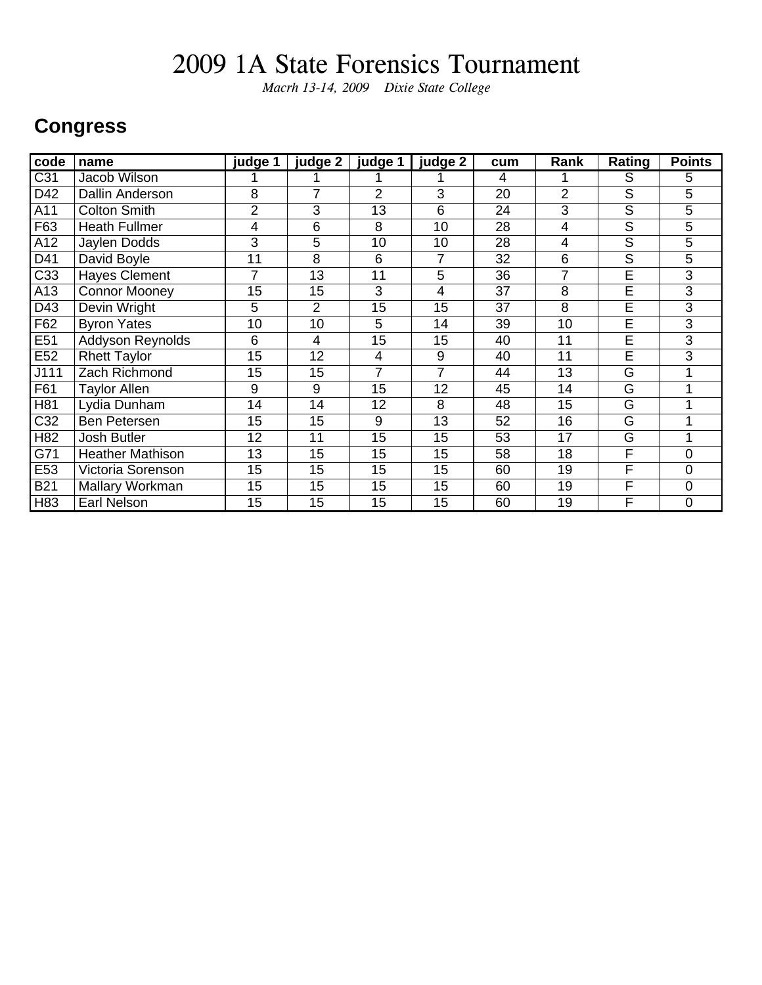*Macrh 13-14, 2009 Dixie State College*

#### **Congress**

| code             | name                    | judge 1 | judge 2        | judge 1        | judge 2 | cum            | Rank           | Rating                  | <b>Points</b> |
|------------------|-------------------------|---------|----------------|----------------|---------|----------------|----------------|-------------------------|---------------|
| $\overline{C}31$ | Jacob Wilson            |         |                |                |         | $\overline{4}$ |                | S                       | 5             |
| D42              | <b>Dallin Anderson</b>  | 8       | 7              | $\overline{2}$ | 3       | 20             | $\overline{2}$ | $\overline{\mathsf{S}}$ | 5             |
| A11              | <b>Colton Smith</b>     | 2       | 3              | 13             | 6       | 24             | 3              | S                       | 5             |
| F63              | <b>Heath Fullmer</b>    | 4       | 6              | 8              | 10      | 28             | 4              | S                       | 5             |
| A12              | Jaylen Dodds            | 3       | 5              | 10             | 10      | 28             | 4              | $\overline{\mathsf{s}}$ | 5             |
| D41              | David Boyle             | 11      | 8              | 6              | 7       | 32             | 6              | $\overline{\mathsf{s}}$ | 5             |
| C33              | <b>Hayes Clement</b>    | 7       | 13             | 11             | 5       | 36             | $\overline{7}$ | $\overline{\mathsf{E}}$ | 3             |
| A13              | <b>Connor Mooney</b>    | 15      | 15             | 3              | 4       | 37             | 8              | E                       | 3             |
| D43              | Devin Wright            | 5       | 2              | 15             | 15      | 37             | 8              | E                       | 3             |
| F62              | <b>Byron Yates</b>      | 10      | 10             | 5              | 14      | 39             | 10             | $\overline{\mathsf{E}}$ | 3             |
| E51              | <b>Addyson Reynolds</b> | 6       | $\overline{4}$ | 15             | 15      | 40             | 11             | E                       | 3             |
| E <sub>52</sub>  | <b>Rhett Taylor</b>     | 15      | 12             | 4              | 9       | 40             | 11             | E                       | 3             |
| J111             | Zach Richmond           | 15      | 15             | 7              | 7       | 44             | 13             | G                       |               |
| F61              | <b>Taylor Allen</b>     | 9       | 9              | 15             | 12      | 45             | 14             | G                       |               |
| H81              | Lydia Dunham            | 14      | 14             | 12             | 8       | 48             | 15             | G                       |               |
| C32              | Ben Petersen            | 15      | 15             | 9              | 13      | 52             | 16             | G                       |               |
| H82              | Josh Butler             | 12      | 11             | 15             | 15      | 53             | 17             | G                       |               |
| G71              | <b>Heather Mathison</b> | 13      | 15             | 15             | 15      | 58             | 18             | F                       | $\Omega$      |
| E53              | Victoria Sorenson       | 15      | 15             | 15             | 15      | 60             | 19             | F                       | 0             |
| <b>B21</b>       | Mallary Workman         | 15      | 15             | 15             | 15      | 60             | 19             | F                       | $\mathbf 0$   |
| H83              | Earl Nelson             | 15      | 15             | 15             | 15      | 60             | 19             | F                       | 0             |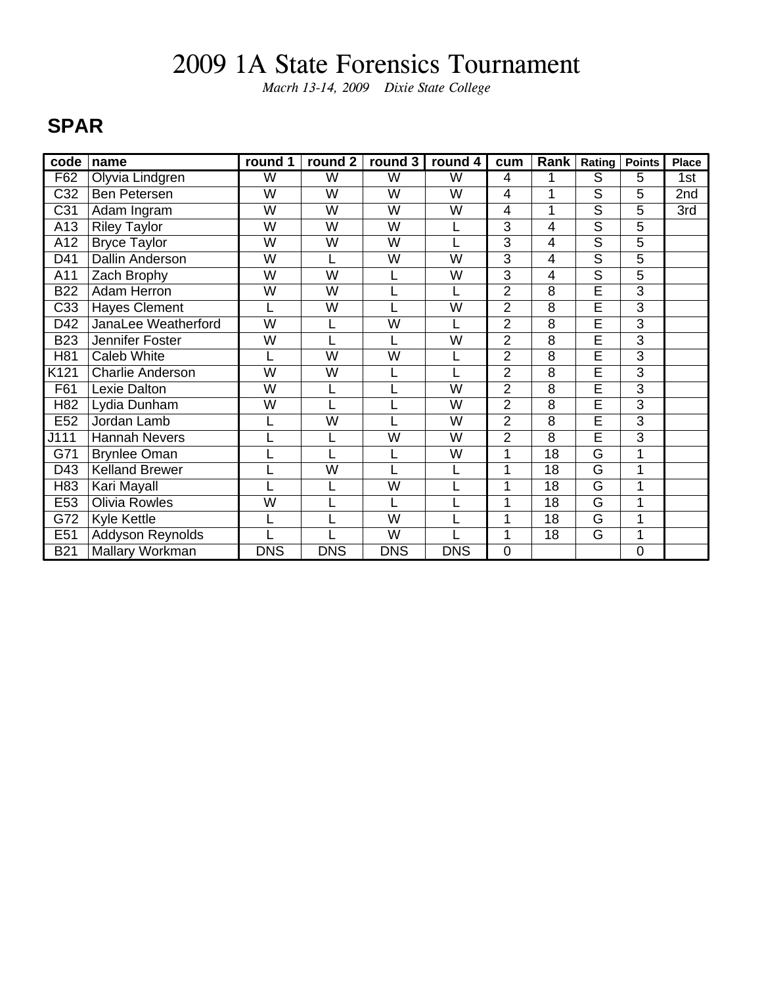*Macrh 13-14, 2009 Dixie State College*

### **SPAR**

| code            | name                    | round 1        | round 2        | round 3                 | round 4    | cum            | Rank           | Rating                  | <b>Points</b>  | Place |
|-----------------|-------------------------|----------------|----------------|-------------------------|------------|----------------|----------------|-------------------------|----------------|-------|
| F62             | Olyvia Lindgren         | W              | W              | W                       | W          | 4              |                | S                       | 5              | 1st   |
| C32             | Ben Petersen            | W              | W              | W                       | W          | 4              |                | $\overline{\mathsf{S}}$ | 5              | 2nd   |
| C <sub>31</sub> | Adam Ingram             | W              | W              | W                       | W          | 4              | 1              | S                       | 5              | 3rd   |
| A13             | <b>Riley Taylor</b>     | W              | W              | W                       | L          | 3              | 4              | S                       | 5              |       |
| A12             | <b>Bryce Taylor</b>     | W              | W              | W                       |            | 3              | 4              | $\overline{\mathsf{s}}$ | 5              |       |
| D41             | <b>Dallin Anderson</b>  | W              |                | W                       | W          | 3              | 4              | $\overline{\mathsf{s}}$ | 5              |       |
| A11             | Zach Brophy             | W              | W              |                         | W          | $\overline{3}$ | 4              | $\overline{s}$          | 5              |       |
| <b>B22</b>      | <b>Adam Herron</b>      | W              | W              |                         |            | $\overline{2}$ | 8              | $\overline{\mathsf{E}}$ | 3              |       |
| C33             | <b>Hayes Clement</b>    |                | W              |                         | W          | $\overline{2}$ | 8              | Ē                       | 3              |       |
| D42             | JanaLee Weatherford     | $\overline{W}$ |                | $\overline{\mathsf{W}}$ |            | $\overline{2}$ | 8              | Ē                       | $\overline{3}$ |       |
| <b>B23</b>      | Jennifer Foster         | W              |                |                         | W          | $\overline{2}$ | $\overline{8}$ | Ē                       | $\overline{3}$ |       |
| H81             | <b>Caleb White</b>      |                | W              | W                       |            | $\overline{2}$ | 8              | E                       | 3              |       |
| K121            | <b>Charlie Anderson</b> | W              | W              |                         |            | $\overline{2}$ | 8              | Ē                       | 3              |       |
| F61             | Lexie Dalton            | W              |                |                         | W          | 2              | 8              | E                       | 3              |       |
| H82             | Lydia Dunham            | W              |                |                         | W          | $\overline{2}$ | 8              | $\overline{\mathsf{E}}$ | 3              |       |
| E <sub>52</sub> | Jordan Lamb             |                | $\overline{W}$ |                         | W          | $\overline{2}$ | 8              | Ē                       | $\overline{3}$ |       |
| J111            | <b>Hannah Nevers</b>    |                |                | W                       | W          | $\overline{2}$ | 8              | Ē                       | $\overline{3}$ |       |
| G71             | <b>Brynlee Oman</b>     |                |                |                         | W          | 1              | 18             | $\overline{\mathsf{G}}$ | 1              |       |
| D43             | <b>Kelland Brewer</b>   |                | W              |                         |            |                | 18             | G                       | 1              |       |
| H83             | Kari Mayall             |                |                | W                       |            |                | 18             | G                       | 1              |       |
| E53             | Olivia Rowles           | W              |                |                         |            | 1              | 18             | G                       | 1              |       |
| G72             | Kyle Kettle             |                |                | $\overline{\mathsf{W}}$ |            | 1              | 18             | G                       | 1              |       |
| E51             | Addyson Reynolds        |                |                | $\overline{\mathsf{W}}$ |            | 1              | 18             | G                       | 1              |       |
| <b>B21</b>      | Mallary Workman         | <b>DNS</b>     | <b>DNS</b>     | <b>DNS</b>              | <b>DNS</b> | $\mathbf 0$    |                |                         | $\overline{0}$ |       |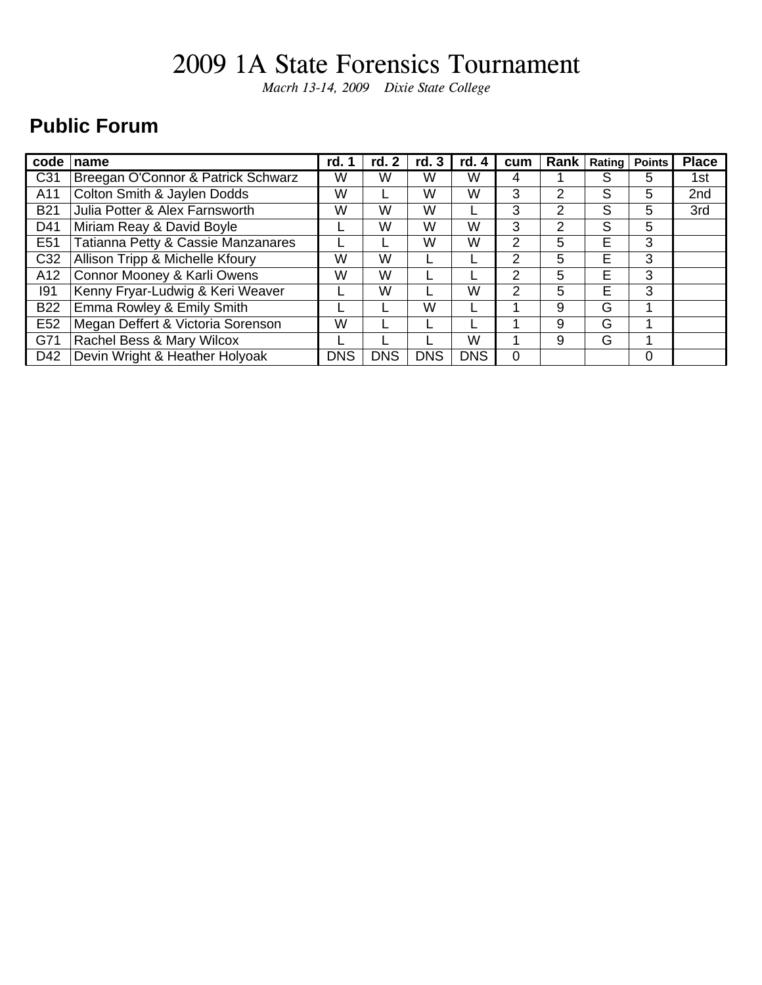*Macrh 13-14, 2009 Dixie State College*

### **Public Forum**

| code            | name                               | rd. 1 | rd. 2      | rd. 3      | rd. 4      | cum            | Rank           |   | Rating   Points | <b>Place</b> |
|-----------------|------------------------------------|-------|------------|------------|------------|----------------|----------------|---|-----------------|--------------|
| C <sub>31</sub> | Breegan O'Connor & Patrick Schwarz |       | W          | w          | W          | 4              |                | S | 5               | 1st          |
| A11             | Colton Smith & Jaylen Dodds        | W     |            | W          | W          | 3              | っ              | S | 5               | 2nd          |
| <b>B21</b>      | Julia Potter & Alex Farnsworth     | W     | W          | W          |            | 3              | $\overline{2}$ | S | 5               | 3rd          |
| D41             | Miriam Reay & David Boyle          |       | W          | W          | W          | 3              | 2              | S | 5               |              |
| E <sub>51</sub> | Tatianna Petty & Cassie Manzanares |       |            | w          | W          | $\overline{2}$ | 5              | E | 3               |              |
| C32             | Allison Tripp & Michelle Kfoury    | w     | W          |            |            | 2              | 5              | E | 3               |              |
| A12             | Connor Mooney & Karli Owens        | W     | W          |            |            | 2              | 5              | E | 3               |              |
| 191             | Kenny Fryar-Ludwig & Keri Weaver   |       | W          |            | W          | 2              | 5              | E | 3               |              |
| <b>B22</b>      | Emma Rowley & Emily Smith          |       |            | w          |            |                | 9              | G |                 |              |
| E <sub>52</sub> | Megan Deffert & Victoria Sorenson  | W     |            |            |            |                | 9              | G |                 |              |
| G71             | Rachel Bess & Mary Wilcox          |       |            |            | W          |                | 9              | G | 1               |              |
| D42             | Devin Wright & Heather Holyoak     |       | <b>DNS</b> | <b>DNS</b> | <b>DNS</b> | $\Omega$       |                |   | 0               |              |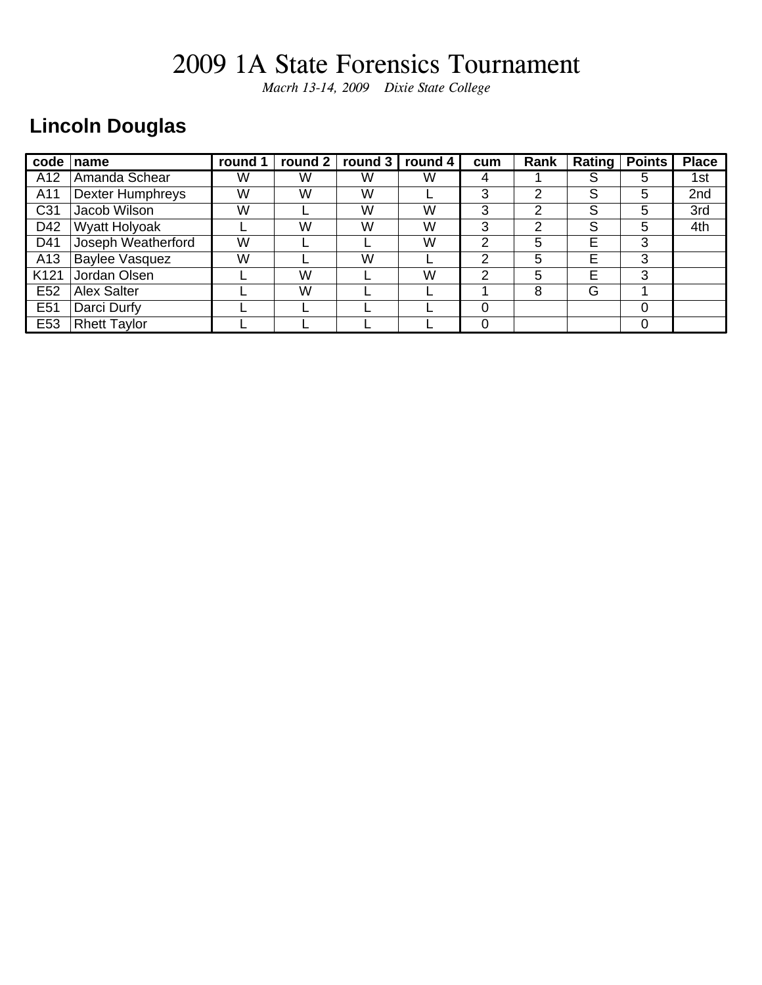*Macrh 13-14, 2009 Dixie State College*

### **Lincoln Douglas**

| code             | name                    | round 1 | round 2 | round 3 | round 4 | cum | Rank |   | Rating   Points | <b>Place</b> |
|------------------|-------------------------|---------|---------|---------|---------|-----|------|---|-----------------|--------------|
| A12              | Amanda Schear           | W       | W       | W       | W       | 4   |      | S | 5               | 1st          |
| A11              | <b>Dexter Humphreys</b> | W       | W       | W       |         | 3   | 2    | S | 5               | 2nd          |
| C <sub>31</sub>  | Jacob Wilson            | W       |         | W       | W       | 3   | 2    | S | 5               | 3rd          |
| D42              | Wyatt Holyoak           |         | W       | W       | W       | 3   | っ    | S | 5               | 4th          |
| D41              | Joseph Weatherford      | W       |         |         | W       | 2   | 5    | E | 3               |              |
| A13              | <b>Baylee Vasquez</b>   | W       |         | W       |         | っ   | 5    | E | 3               |              |
| K <sub>121</sub> | Jordan Olsen            |         | W       |         | W       | っ   | 5    | E | 3               |              |
| E <sub>52</sub>  | <b>Alex Salter</b>      |         | W       |         |         |     | 8    | G |                 |              |
| E <sub>51</sub>  | Darci Durfy             |         |         |         |         |     |      |   | 0               |              |
| E53              | <b>Rhett Taylor</b>     |         |         |         |         |     |      |   | 0               |              |